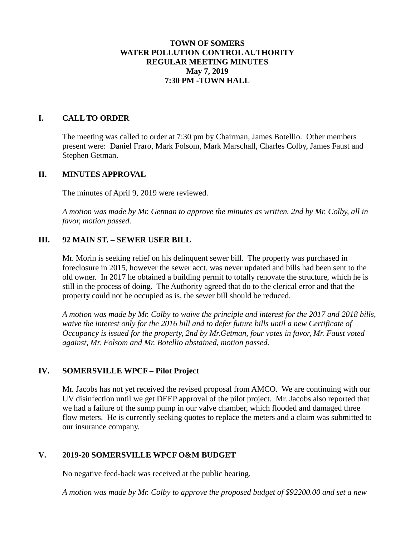## **TOWN OF SOMERS WATER POLLUTION CONTROL AUTHORITY REGULAR MEETING MINUTES May 7, 2019 7:30 PM -TOWN HALL**

## **I. CALL TO ORDER**

The meeting was called to order at 7:30 pm by Chairman, James Botellio. Other members present were: Daniel Fraro, Mark Folsom, Mark Marschall, Charles Colby, James Faust and Stephen Getman.

#### **II. MINUTES APPROVAL**

The minutes of April 9, 2019 were reviewed.

*A motion was made by Mr. Getman to approve the minutes as written. 2nd by Mr. Colby, all in favor, motion passed.*

## **III. 92 MAIN ST. – SEWER USER BILL**

Mr. Morin is seeking relief on his delinquent sewer bill. The property was purchased in foreclosure in 2015, however the sewer acct. was never updated and bills had been sent to the old owner. In 2017 he obtained a building permit to totally renovate the structure, which he is still in the process of doing. The Authority agreed that do to the clerical error and that the property could not be occupied as is, the sewer bill should be reduced.

*A motion was made by Mr. Colby to waive the principle and interest for the 2017 and 2018 bills, waive the interest only for the 2016 bill and to defer future bills until a new Certificate of Occupancy is issued for the property, 2nd by Mr.Getman, four votes in favor, Mr. Faust voted against, Mr. Folsom and Mr. Botellio abstained, motion passed.*

# **IV. SOMERSVILLE WPCF – Pilot Project**

Mr. Jacobs has not yet received the revised proposal from AMCO. We are continuing with our UV disinfection until we get DEEP approval of the pilot project. Mr. Jacobs also reported that we had a failure of the sump pump in our valve chamber, which flooded and damaged three flow meters. He is currently seeking quotes to replace the meters and a claim was submitted to our insurance company.

# **V. 2019-20 SOMERSVILLE WPCF O&M BUDGET**

No negative feed-back was received at the public hearing.

*A motion was made by Mr. Colby to approve the proposed budget of \$92200.00 and set a new*